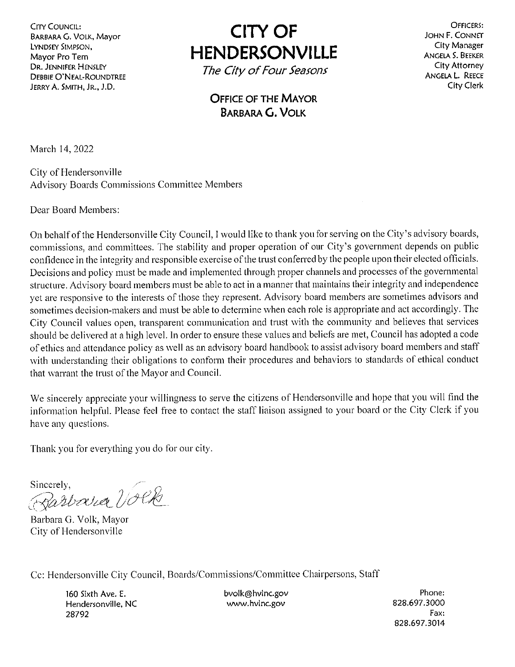**CITY COUNCIL: BARBARA G. VOLK, Mayor** LYNDSEY SIMPSON, Mayor Pro Tem **DR. JENNIFER HENSLEY DEBBIE O'NEAL-ROUNDTREE** JERRY A. SMITH, JR., J.D.

**CITY OF HENDERSONVILLE** 

The City of Four Seasons

OFFICERS: JOHN F. CONNET City Manager **ANGELA S. BEEKER** City Attorney ANGELA L. REECE City Clerk

**OFFICE OF THE MAYOR BARBARA G. VOLK** 

March 14, 2022

City of Hendersonville **Advisory Boards Commissions Committee Members** 

Dear Board Members:

On behalf of the Hendersonville City Council, I would like to thank you for serving on the City's advisory boards, commissions, and committees. The stability and proper operation of our City's government depends on public confidence in the integrity and responsible exercise of the trust conferred by the people upon their elected officials. Decisions and policy must be made and implemented through proper channels and processes of the governmental structure. Advisory board members must be able to act in a manner that maintains their integrity and independence yet are responsive to the interests of those they represent. Advisory board members are sometimes advisors and sometimes decision-makers and must be able to determine when each role is appropriate and act accordingly. The City Council values open, transparent communication and trust with the community and believes that services should be delivered at a high level. In order to ensure these values and beliefs are met, Council has adopted a code of ethics and attendance policy as well as an advisory board handbook to assist advisory board members and staff with understanding their obligations to conform their procedures and behaviors to standards of ethical conduct that warrant the trust of the Mayor and Council.

We sincerely appreciate your willingness to serve the citizens of Hendersonville and hope that you will find the information helpful. Please feel free to contact the staff liaison assigned to your board or the City Clerk if you have any questions.

Thank you for everything you do for our city.

Sincerely, Barbara Volk

Barbara G. Volk, Mayor City of Hendersonville

Cc: Hendersonville City Council, Boards/Commissions/Committee Chairpersons, Staff

160 Sixth Ave. E. Hendersonville, NC 28792

bvolk@hvlnc.gov www.hvlnc.gov

Phone: 828.697.3000 Fax. 828.697.3014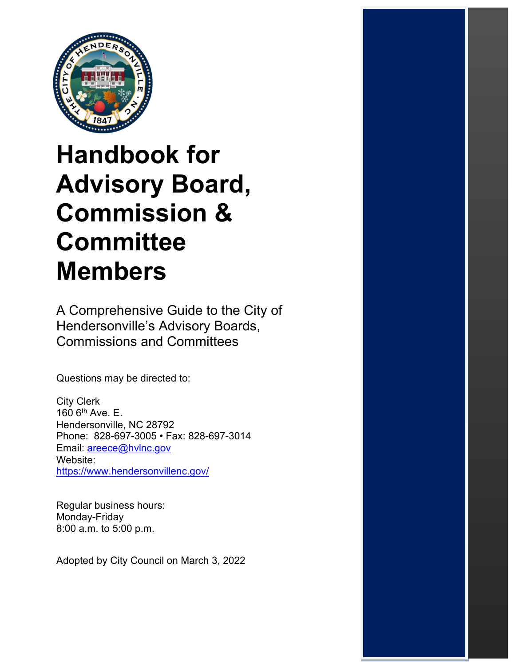

# **Handbook for Advisory Board, Commission & Committee Members**

A Comprehensive Guide to the City of Hendersonville's Advisory Boards, Commissions and Committees

Questions may be directed to:

City Clerk  $160$  6<sup>th</sup> Ave. E. Hendersonville, NC 28792 Phone: 828-697-3005 • Fax: 828-697-3014 Email: [areece@hvlnc.gov](mailto:areece@hvlnc.gov) Website: <https://www.hendersonvillenc.gov/>

Regular business hours: Monday-Friday 8:00 a.m. to 5:00 p.m.

Adopted by City Council on March 3, 2022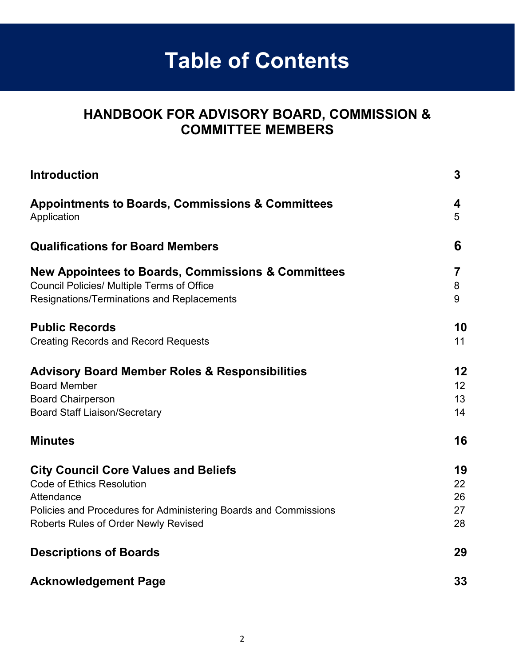# **Table of Contents**

## **HANDBOOK FOR ADVISORY BOARD, COMMISSION & COMMITTEE MEMBERS**

| <b>Introduction</b>                                              | $\mathbf{3}$ |
|------------------------------------------------------------------|--------------|
| <b>Appointments to Boards, Commissions &amp; Committees</b>      | 4            |
| Application                                                      | 5            |
| <b>Qualifications for Board Members</b>                          | 6            |
| New Appointees to Boards, Commissions & Committees               | 7            |
| <b>Council Policies/ Multiple Terms of Office</b>                | 8            |
| Resignations/Terminations and Replacements                       | 9            |
| <b>Public Records</b>                                            | 10           |
| <b>Creating Records and Record Requests</b>                      | 11           |
| <b>Advisory Board Member Roles &amp; Responsibilities</b>        | 12           |
| <b>Board Member</b>                                              | 12           |
| <b>Board Chairperson</b>                                         | 13           |
| <b>Board Staff Liaison/Secretary</b>                             | 14           |
| <b>Minutes</b>                                                   | 16           |
| <b>City Council Core Values and Beliefs</b>                      | 19           |
| <b>Code of Ethics Resolution</b>                                 | 22           |
| Attendance                                                       | 26           |
| Policies and Procedures for Administering Boards and Commissions | 27           |
| <b>Roberts Rules of Order Newly Revised</b>                      | 28           |
| <b>Descriptions of Boards</b>                                    | 29           |
| <b>Acknowledgement Page</b>                                      | 33           |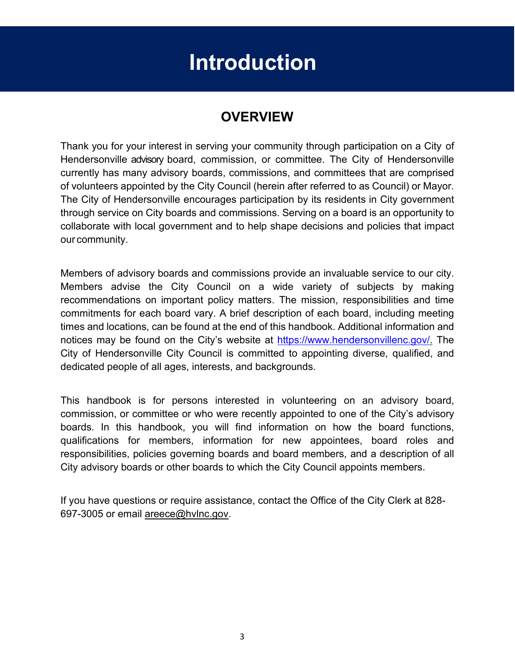# **Introduction**

## **OVERVIEW**

<span id="page-3-0"></span>Thank you for your interest in serving your community through participation on a City of Hendersonville advisory board, commission, or committee. The City of Hendersonville currently has many advisory boards, commissions, and committees that are comprised of volunteers appointed by the City Council (herein after referred to as Council) or Mayor. The City of Hendersonville encourages participation by its residents in City government through service on City boards and commissions. Serving on a board is an opportunity to collaborate with local government and to help shape decisions and policies that impact our community.

Members of advisory boards and commissions provide an invaluable service to our city. Members advise the City Council on a wide variety of subjects by making recommendations on important policy matters. The mission, responsibilities and time commitments for each board vary. A brief description of each board, including meeting times and locations, can be found at the end of this handbook. Additional information and notices may be found on the [City's website](https://www.hendersonvillenc.gov/boards-and-commissions/business-advisory-committee) at [https://www.hendersonvillenc.gov/.](https://www.hendersonvillenc.gov/) The City of Hendersonville City Council is committed to appointing diverse, qualified, and dedicated people of all ages, interests, and backgrounds.

This handbook is for persons interested in volunteering on an advisory board, commission, or committee or who were recently appointed to one of the City's advisory boards. In this handbook, you will find information on how the board functions, qualifications for members, information for new appointees, board roles and responsibilities, policies governing boards and board members, and a description of all City advisory boards or other boards to which the City Council appoints members.

If you have questions or require assistance, contact the Office of the City Clerk at 828- 697-3005 or email [areece@hvlnc.gov.](mailto:areece@hvlnc.gov)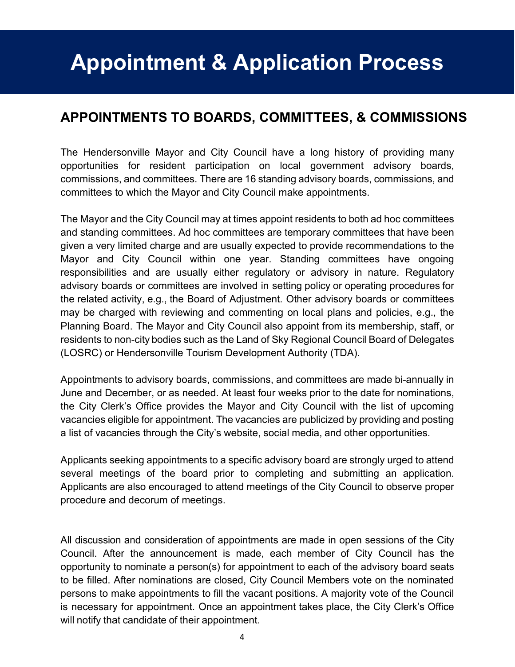# <span id="page-4-0"></span>**Appointment & Application Process**

## **APPOINTMENTS TO BOARDS, COMMITTEES, & COMMISSIONS**

The Hendersonville Mayor and City Council have a long history of providing many opportunities for resident participation on local government advisory boards, commissions, and committees. There are 16 standing advisory boards, commissions, and committees to which the Mayor and City Council make appointments.

The Mayor and the City Council may at times appoint residents to both ad hoc committees and standing committees. Ad hoc committees are temporary committees that have been given a very limited charge and are usually expected to provide recommendations to the Mayor and City Council within one year. Standing committees have ongoing responsibilities and are usually either regulatory or advisory in nature. Regulatory advisory boards or committees are involved in setting policy or operating procedures for the related activity, e.g., the Board of Adjustment. Other advisory boards or committees may be charged with reviewing and commenting on local plans and policies, e.g., the Planning Board. The Mayor and City Council also appoint from its membership, staff, or residents to non-city bodies such as the Land of Sky Regional Council Board of Delegates (LOSRC) or Hendersonville Tourism Development Authority (TDA).

Appointments to advisory boards, commissions, and committees are made bi-annually in June and December, or as needed. At least four weeks prior to the date for nominations, the City Clerk's Office provides the Mayor and City Council with the list of upcoming vacancies eligible for appointment. The vacancies are publicized by providing and posting a list of vacancies through the City's website, social media, and other opportunities.

Applicants seeking appointments to a specific advisory board are strongly urged to attend several meetings of the board prior to completing and submitting an application. Applicants are also encouraged to attend meetings of the City Council to observe proper procedure and decorum of meetings.

All discussion and consideration of appointments are made in open sessions of the City Council. After the announcement is made, each member of City Council has the opportunity to nominate a person(s) for appointment to each of the advisory board seats to be filled. After nominations are closed, City Council Members vote on the nominated persons to make appointments to fill the vacant positions. A majority vote of the Council is necessary for appointment. Once an appointment takes place, the City Clerk's Office will notify that candidate of their appointment.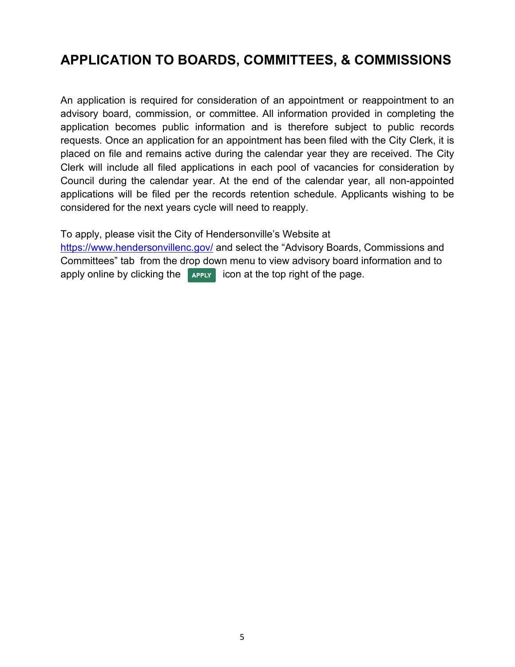## **APPLICATION TO BOARDS, COMMITTEES, & COMMISSIONS**

An application is required for consideration of an appointment or reappointment to an advisory board, commission, or committee. All information provided in completing the application becomes public information and is therefore subject to public records requests. Once an application for an appointment has been filed with the City Clerk, it is placed on file and remains active during the calendar year they are received. The City Clerk will include all filed applications in each pool of vacancies for consideration by Council during the calendar year. At the end of the calendar year, all non-appointed applications will be filed per the records retention schedule. Applicants wishing to be considered for the next years cycle will need to reapply.

To apply, please visit the City [of Hendersonville's](https://www.hendersonvillenc.gov/boards-and-commissions/business-advisory-committee) Website at

<https://www.hendersonvillenc.gov/> and select the "Advisory Boards, Commissions and Committees" tab from the drop down menu to view advisory board information and to apply online by clicking the  $\sqrt{ }$  apply [ic](https://www.townofblackmountain.org/list.aspx)on at the top right of the page.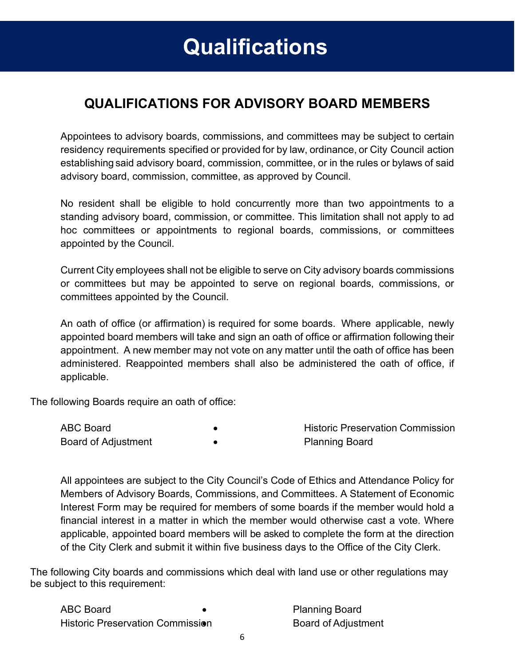## <span id="page-6-0"></span>**QUALIFICATIONS FOR ADVISORY BOARD MEMBERS**

Appointees to advisory boards, commissions, and committees may be subject to certain residency requirements specified or provided for by law, ordinance, or City Council action establishing said advisory board, commission, committee, or in the rules or bylaws of said advisory board, commission, committee, as approved by Council.

No resident shall be eligible to hold concurrently more than two appointments to a standing advisory board, commission, or committee. This limitation shall not apply to ad hoc committees or appointments to regional boards, commissions, or committees appointed by the Council.

Current City employees shall not be eligible to serve on City advisory boards commissions or committees but may be appointed to serve on regional boards, commissions, or committees appointed by the Council.

An oath of office (or affirmation) is required for some boards. Where applicable, newly appointed board members will take and sign an oath of office or affirmation following their appointment. A new member may not vote on any matter until the oath of office has been administered. Reappointed members shall also be administered the oath of office, if applicable.

The following Boards require an oath of office:

| <b>ABC Board</b>           | <b>Historic Preservation Commission</b> |
|----------------------------|-----------------------------------------|
| <b>Board of Adjustment</b> | <b>Planning Board</b>                   |

All appointees are subject to the City Council's Code of Ethics and Attendance Policy for Members of Advisory Boards, Commissions, and Committees. A Statement of Economic Interest Form may be required for members of some boards if the member would hold a financial interest in a matter in which the member would otherwise cast a vote. Where applicable, appointed board members will be asked to complete the form at the direction of the City Clerk and submit it within five business days to the Office of the City Clerk.

The following City boards and commissions which deal with land use or other regulations may be subject to this requirement:

| <b>ABC Board</b>                        |  |
|-----------------------------------------|--|
| <b>Historic Preservation Commission</b> |  |

• Planning Board • Board of Adjustment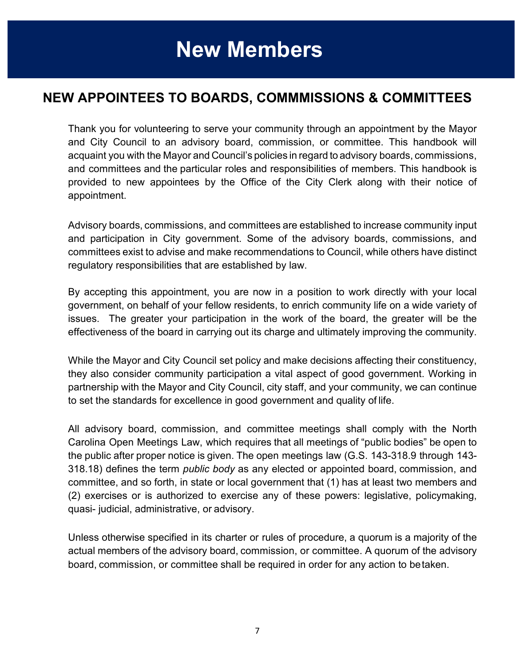## <span id="page-7-0"></span>**NEW APPOINTEES TO BOARDS, COMMMISSIONS & COMMITTEES**

Thank you for volunteering to serve your community through an appointment by the Mayor and City Council to an advisory board, commission, or committee. This handbook will acquaint you with the Mayor and Council's policies in regard to advisory boards, commissions, and committees and the particular roles and responsibilities of members. This handbook is provided to new appointees by the Office of the City Clerk along with their notice of appointment.

Advisory boards, commissions, and committees are established to increase community input and participation in City government. Some of the advisory boards, commissions, and committees exist to advise and make recommendations to Council, while others have distinct regulatory responsibilities that are established by law.

By accepting this appointment, you are now in a position to work directly with your local government, on behalf of your fellow residents, to enrich community life on a wide variety of issues. The greater your participation in the work of the board, the greater will be the effectiveness of the board in carrying out its charge and ultimately improving the community.

While the Mayor and City Council set policy and make decisions affecting their constituency, they also consider community participation a vital aspect of good government. Working in partnership with the Mayor and City Council, city staff, and your community, we can continue to set the standards for excellence in good government and quality of life.

All advisory board, commission, and committee meetings shall comply with the North Carolina Open Meetings Law, which requires that all meetings of "public bodies" be open to the public after proper notice is given. The open meetings law (G.S. 143-318.9 through 143- 318.18) defines the term *public body* as any elected or appointed board, commission, and committee, and so forth, in state or local government that (1) has at least two members and (2) exercises or is authorized to exercise any of these powers: legislative, policymaking, quasi- judicial, administrative, or advisory.

Unless otherwise specified in its charter or rules of procedure, a quorum is a majority of the actual members of the advisory board, commission, or committee. A quorum of the advisory board, commission, or committee shall be required in order for any action to betaken.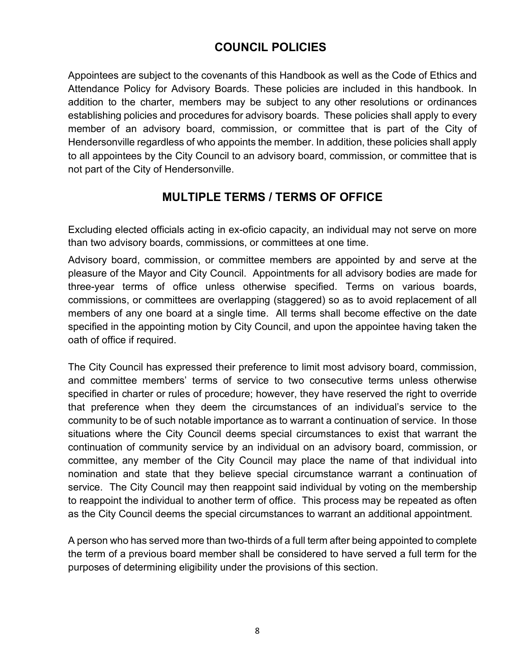### **COUNCIL POLICIES**

Appointees are subject to the covenants of this Handbook as well as the Code of Ethics and Attendance Policy for Advisory Boards. These policies are included in this handbook. In addition to the charter, members may be subject to any other resolutions or ordinances establishing policies and procedures for advisory boards. These policies shall apply to every member of an advisory board, commission, or committee that is part of the City of Hendersonville regardless of who appoints the member. In addition, these policies shall apply to all appointees by the City Council to an advisory board, commission, or committee that is not part of the City of Hendersonville.

### **MULTIPLE TERMS / TERMS OF OFFICE**

Excluding elected officials acting in ex-oficio capacity, an individual may not serve on more than two advisory boards, commissions, or committees at one time.

Advisory board, commission, or committee members are appointed by and serve at the pleasure of the Mayor and City Council. Appointments for all advisory bodies are made for three-year terms of office unless otherwise specified. Terms on various boards, commissions, or committees are overlapping (staggered) so as to avoid replacement of all members of any one board at a single time. All terms shall become effective on the date specified in the appointing motion by City Council, and upon the appointee having taken the oath of office if required.

The City Council has expressed their preference to limit most advisory board, commission, and committee members' terms of service to two consecutive terms unless otherwise specified in charter or rules of procedure; however, they have reserved the right to override that preference when they deem the circumstances of an individual's service to the community to be of such notable importance as to warrant a continuation of service. In those situations where the City Council deems special circumstances to exist that warrant the continuation of community service by an individual on an advisory board, commission, or committee, any member of the City Council may place the name of that individual into nomination and state that they believe special circumstance warrant a continuation of service. The City Council may then reappoint said individual by voting on the membership to reappoint the individual to another term of office. This process may be repeated as often as the City Council deems the special circumstances to warrant an additional appointment.

A person who has served more than two-thirds of a full term after being appointed to complete the term of a previous board member shall be considered to have served a full term for the purposes of determining eligibility under the provisions of this section.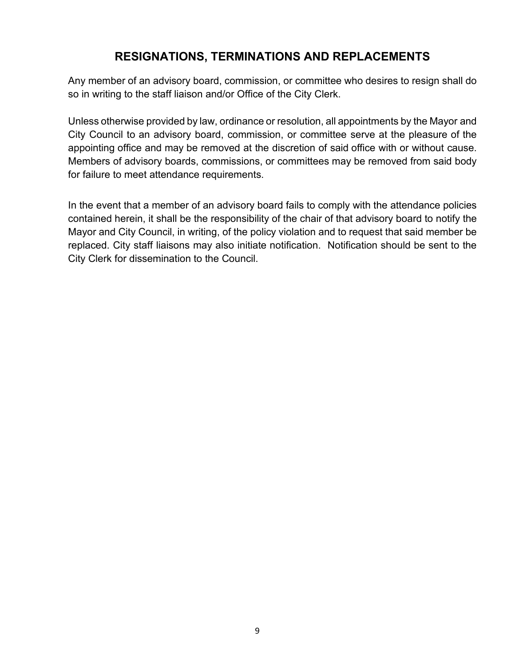### **RESIGNATIONS, TERMINATIONS AND REPLACEMENTS**

Any member of an advisory board, commission, or committee who desires to resign shall do so in writing to the staff liaison and/or Office of the City Clerk.

Unless otherwise provided by law, ordinance or resolution, all appointments by the Mayor and City Council to an advisory board, commission, or committee serve at the pleasure of the appointing office and may be removed at the discretion of said office with or without cause. Members of advisory boards, commissions, or committees may be removed from said body for failure to meet attendance requirements.

In the event that a member of an advisory board fails to comply with the attendance policies contained herein, it shall be the responsibility of the chair of that advisory board to notify the Mayor and City Council, in writing, of the policy violation and to request that said member be replaced. City staff liaisons may also initiate notification. Notification should be sent to the City Clerk for dissemination to the Council.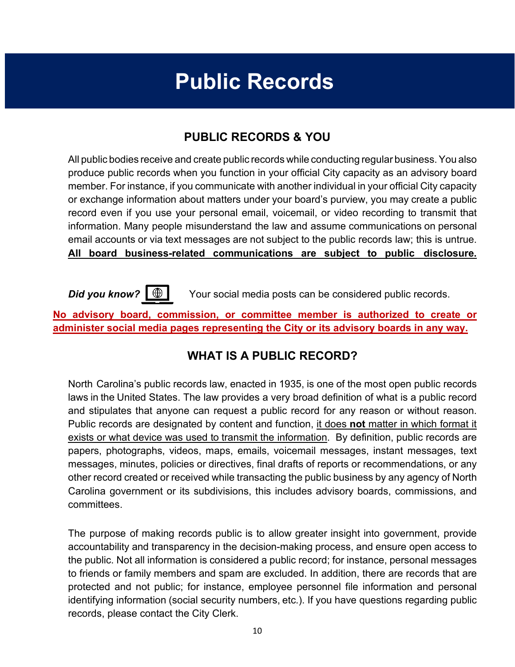# **Public Records**

### **PUBLIC RECORDS & YOU**

<span id="page-10-0"></span>All public bodies receive and create public records while conducting regular business.You also produce public records when you function in your official City capacity as an advisory board member. For instance, if you communicate with another individual in your official City capacity or exchange information about matters under your board's purview, you may create a public record even if you use your personal email, voicemail, or video recording to transmit that information. Many people misunderstand the law and assume communications on personal email accounts or via text messages are not subject to the public records law; this is untrue. **All board business-related communications are subject to public disclosure.**



**Did you know?**  $\circled{+}$  Your social media posts can be considered public records.

**No advisory board, commission, or committee member is authorized to create or administer social media pages representing the City or its advisory boards in any way.**

### **WHAT IS A PUBLIC RECORD?**

North Carolina's public records law, enacted in 1935, is one of the most open public records laws in the United States. The law provides a very broad definition of what is a public record and stipulates that anyone can request a public record for any reason or without reason. Public records are designated by content and function, it does **not** matter in which format it exists or what device was used to transmit the information. By definition, public records are papers, photographs, videos, maps, emails, voicemail messages, instant messages, text messages, minutes, policies or directives, final drafts of reports or recommendations, or any other record created or received while transacting the public business by any agency of North Carolina government or its subdivisions, this includes advisory boards, commissions, and committees.

The purpose of making records public is to allow greater insight into government, provide accountability and transparency in the decision-making process, and ensure open access to the public. Not all information is considered a public record; for instance, personal messages to friends or family members and spam are excluded. In addition, there are records that are protected and not public; for instance, employee personnel file information and personal identifying information (social security numbers, etc.). If you have questions regarding public records, please contact the City Clerk.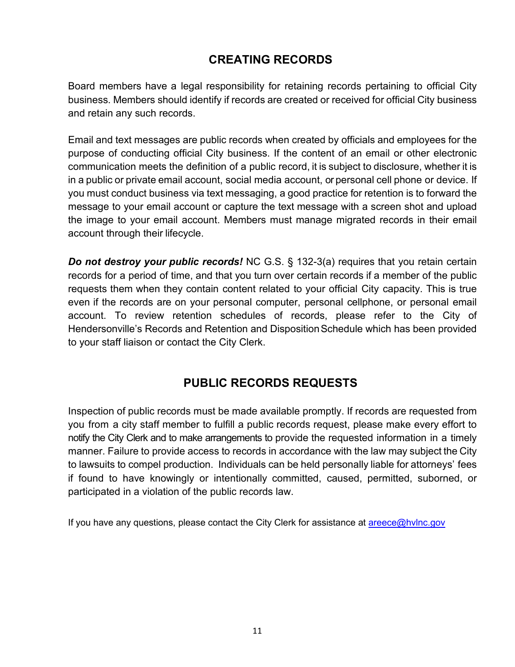### **CREATING RECORDS**

Board members have a legal responsibility for retaining records pertaining to official City business. Members should identify if records are created or received for official City business and retain any such records.

Email and text messages are public records when created by officials and employees for the purpose of conducting official City business. If the content of an email or other electronic communication meets the definition of a public record, it is subject to disclosure, whether it is in a public or private email account, social media account, or personal cell phone or device. If you must conduct business via text messaging, a good practice for retention is to forward the message to your email account or capture the text message with a screen shot and upload the image to your email account. Members must manage migrated records in their email account through their lifecycle.

*Do not destroy your public records!* NC G.S. § 132-3(a) requires that you retain certain records for a period of time, and that you turn over certain records if a member of the public requests them when they contain content related to your official City capacity. This is true even if the records are on your personal computer, personal cellphone, or personal email account. To review retention schedules of records, please refer to the City of Hendersonville's Records and Retention and Disposition Schedule which has been provided to your staff liaison or contact the City Clerk.

### **PUBLIC RECORDS REQUESTS**

Inspection of public records must be made available promptly. If records are requested from you from a city staff member to fulfill a public records request, please make every effort to notify the City Clerk and to make arrangements to provide the requested information in a timely manner. Failure to provide access to records in accordance with the law may subject the City to lawsuits to compel production. Individuals can be held personally liable for attorneys' fees if found to have knowingly or intentionally committed, caused, permitted, suborned, or participated in a violation of the public records law.

If you have any questions, please contact the City Clerk for assistance at **[areece@hvlnc.gov](mailto:areece@hvlnc.gov)**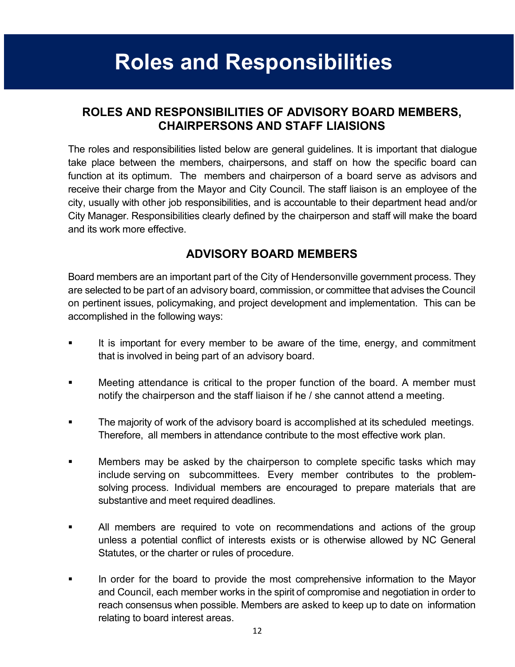# **Roles and Responsibilities**

### **ROLES AND RESPONSIBILITIES OF ADVISORY BOARD MEMBERS, CHAIRPERSONS AND STAFF LIAISIONS**

The roles and responsibilities listed below are general guidelines. It is important that dialogue take place between the members, chairpersons, and staff on how the specific board can function at its optimum. The members and chairperson of a board serve as advisors and receive their charge from the Mayor and City Council. The staff liaison is an employee of the city, usually with other job responsibilities, and is accountable to their department head and/or City Manager. Responsibilities clearly defined by the chairperson and staff will make the board and its work more effective.

### **ADVISORY BOARD MEMBERS**

Board members are an important part of the City of Hendersonville government process. They are selected to be part of an advisory board, commission, or committee that advises the Council on pertinent issues, policymaking, and project development and implementation. This can be accomplished in the following ways:

- It is important for every member to be aware of the time, energy, and commitment that is involved in being part of an advisory board.
- Meeting attendance is critical to the proper function of the board. A member must notify the chairperson and the staff liaison if he / she cannot attend a meeting.
- The majority of work of the advisory board is accomplished at its scheduled meetings. Therefore, all members in attendance contribute to the most effective work plan.
- Members may be asked by the chairperson to complete specific tasks which may include serving on subcommittees. Every member contributes to the problemsolving process. Individual members are encouraged to prepare materials that are substantive and meet required deadlines.
- All members are required to vote on recommendations and actions of the group unless a potential conflict of interests exists or is otherwise allowed by NC General Statutes, or the charter or rules of procedure.
- <span id="page-12-0"></span> In order for the board to provide the most comprehensive information to the Mayor and Council, each member works in the spirit of compromise and negotiation in order to reach consensus when possible. Members are asked to keep up to date on information relating to board interest areas.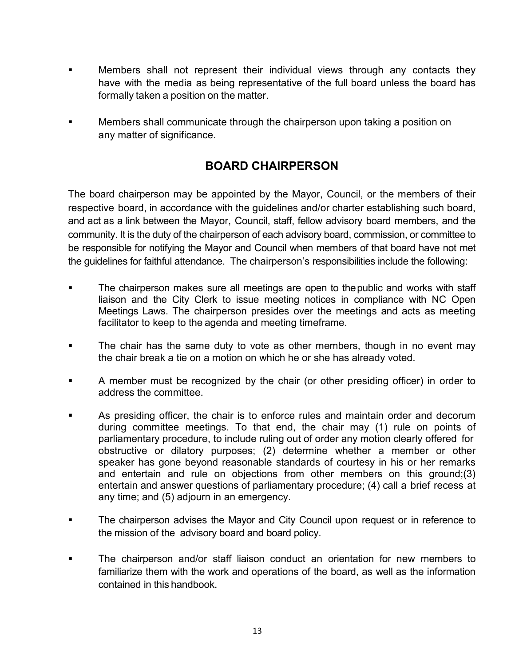- Members shall not represent their individual views through any contacts they have with the media as being representative of the full board unless the board has formally taken a position on the matter.
- Members shall communicate through the chairperson upon taking a position on any matter of significance.

### **BOARD CHAIRPERSON**

The board chairperson may be appointed by the Mayor, Council, or the members of their respective board, in accordance with the guidelines and/or charter establishing such board, and act as a link between the Mayor, Council, staff, fellow advisory board members, and the community. It is the duty of the chairperson of each advisory board, commission, or committee to be responsible for notifying the Mayor and Council when members of that board have not met the guidelines for faithful attendance. The chairperson's responsibilities include the following:

- The chairperson makes sure all meetings are open to thepublic and works with staff liaison and the City Clerk to issue meeting notices in compliance with NC Open Meetings Laws. The chairperson presides over the meetings and acts as meeting facilitator to keep to the agenda and meeting timeframe.
- The chair has the same duty to vote as other members, though in no event may the chair break a tie on a motion on which he or she has already voted.
- A member must be recognized by the chair (or other presiding officer) in order to address the committee.
- As presiding officer, the chair is to enforce rules and maintain order and decorum during committee meetings. To that end, the chair may (1) rule on points of parliamentary procedure, to include ruling out of order any motion clearly offered for obstructive or dilatory purposes; (2) determine whether a member or other speaker has gone beyond reasonable standards of courtesy in his or her remarks and entertain and rule on objections from other members on this ground;(3) entertain and answer questions of parliamentary procedure; (4) call a brief recess at any time; and (5) adjourn in an emergency.
- The chairperson advises the Mayor and City Council upon request or in reference to the mission of the advisory board and board policy.
- The chairperson and/or staff liaison conduct an orientation for new members to familiarize them with the work and operations of the board, as well as the information contained in this handbook.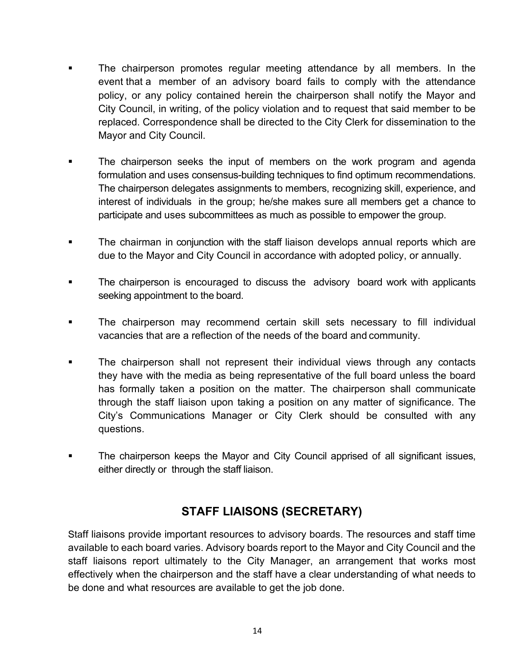- The chairperson promotes regular meeting attendance by all members. In the event that a member of an advisory board fails to comply with the attendance policy, or any policy contained herein the chairperson shall notify the Mayor and City Council, in writing, of the policy violation and to request that said member to be replaced. Correspondence shall be directed to the City Clerk for dissemination to the Mayor and City Council.
- The chairperson seeks the input of members on the work program and agenda formulation and uses consensus-building techniques to find optimum recommendations. The chairperson delegates assignments to members, recognizing skill, experience, and interest of individuals in the group; he/she makes sure all members get a chance to participate and uses subcommittees as much as possible to empower the group.
- The chairman in conjunction with the staff liaison develops annual reports which are due to the Mayor and City Council in accordance with adopted policy, or annually.
- **The chairperson is encouraged to discuss the advisory board work with applicants** seeking appointment to the board.
- The chairperson may recommend certain skill sets necessary to fill individual vacancies that are a reflection of the needs of the board and community.
- The chairperson shall not represent their individual views through any contacts they have with the media as being representative of the full board unless the board has formally taken a position on the matter. The chairperson shall communicate through the staff liaison upon taking a position on any matter of significance. The City's Communications Manager or City Clerk should be consulted with any questions.
- The chairperson keeps the Mayor and City Council apprised of all significant issues, either directly or through the staff liaison.

### **STAFF LIAISONS (SECRETARY)**

Staff liaisons provide important resources to advisory boards. The resources and staff time available to each board varies. Advisory boards report to the Mayor and City Council and the staff liaisons report ultimately to the City Manager, an arrangement that works most effectively when the chairperson and the staff have a clear understanding of what needs to be done and what resources are available to get the job done.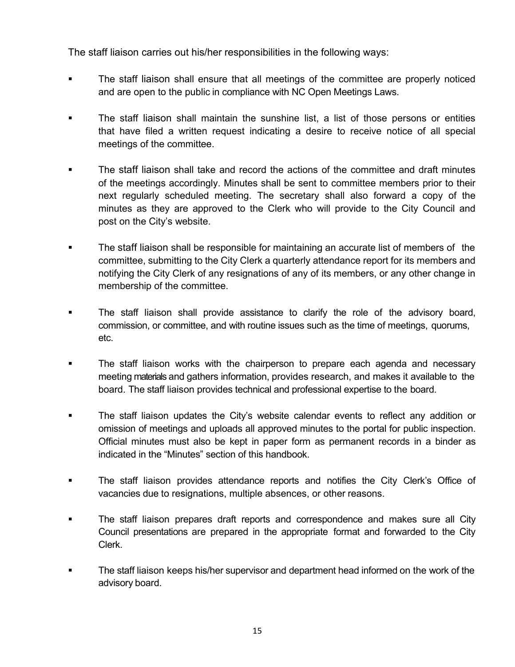The staff liaison carries out his/her responsibilities in the following ways:

- The staff liaison shall ensure that all meetings of the committee are properly noticed and are open to the public in compliance with NC Open Meetings Laws.
- The staff liaison shall maintain the sunshine list, a list of those persons or entities that have filed a written request indicating a desire to receive notice of all special meetings of the committee.
- The staff liaison shall take and record the actions of the committee and draft minutes of the meetings accordingly. Minutes shall be sent to committee members prior to their next regularly scheduled meeting. The secretary shall also forward a copy of the minutes as they are approved to the Clerk who will provide to the City Council and post on the City's website.
- The staff liaison shall be responsible for maintaining an accurate list of members of the committee, submitting to the City Clerk a quarterly attendance report for its members and notifying the City Clerk of any resignations of any of its members, or any other change in membership of the committee.
- The staff liaison shall provide assistance to clarify the role of the advisory board, commission, or committee, and with routine issues such as the time of meetings, quorums, etc.
- The staff liaison works with the chairperson to prepare each agenda and necessary meeting materials and gathers information, provides research, and makes it available to the board. The staff liaison provides technical and professional expertise to the board.
- The staff liaison updates the City's website calendar events to reflect any addition or omission of meetings and uploads all approved minutes to the portal for public inspection. Official minutes must also be kept in paper form as permanent records in a binder as indicated in the "Minutes" section of this handbook.
- The staff liaison provides attendance reports and notifies the City Clerk's Office of vacancies due to resignations, multiple absences, or other reasons.
- The staff liaison prepares draft reports and correspondence and makes sure all City Council presentations are prepared in the appropriate format and forwarded to the City Clerk.
- The staff liaison keeps his/her supervisor and department head informed on the work of the advisory board.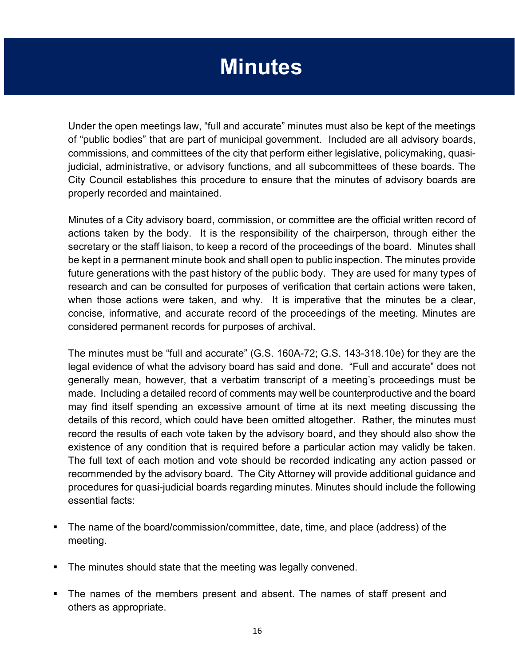# **Minutes**

Under the open meetings law, "full and accurate" minutes must also be kept of the meetings of "public bodies" that are part of municipal government. Included are all advisory boards, commissions, and committees of the city that perform either legislative, policymaking, quasijudicial, administrative, or advisory functions, and all subcommittees of these boards. The City Council establishes this procedure to ensure that the minutes of advisory boards are properly recorded and maintained.

Minutes of a City advisory board, commission, or committee are the official written record of actions taken by the body. It is the responsibility of the chairperson, through either the secretary or the staff liaison, to keep a record of the proceedings of the board. Minutes shall be kept in a permanent minute book and shall open to public inspection. The minutes provide future generations with the past history of the public body. They are used for many types of research and can be consulted for purposes of verification that certain actions were taken, when those actions were taken, and why. It is imperative that the minutes be a clear, concise, informative, and accurate record of the proceedings of the meeting. Minutes are considered permanent records for purposes of archival.

The minutes must be "full and accurate" (G.S. 160A-72; G.S. 143-318.10e) for they are the legal evidence of what the advisory board has said and done. "Full and accurate" does not generally mean, however, that a verbatim transcript of a meeting's proceedings must be made. Including a detailed record of comments may well be counterproductive and the board may find itself spending an excessive amount of time at its next meeting discussing the details of this record, which could have been omitted altogether. Rather, the minutes must record the results of each vote taken by the advisory board, and they should also show the existence of any condition that is required before a particular action may validly be taken. The full text of each motion and vote should be recorded indicating any action passed or recommended by the advisory board. The City Attorney will provide additional guidance and procedures for quasi-judicial boards regarding minutes. Minutes should include the following essential facts:

- The name of the board/commission/committee, date, time, and place (address) of the meeting.
- The minutes should state that the meeting was legally convened.
- The names of the members present and absent. The names of staff present and others as appropriate.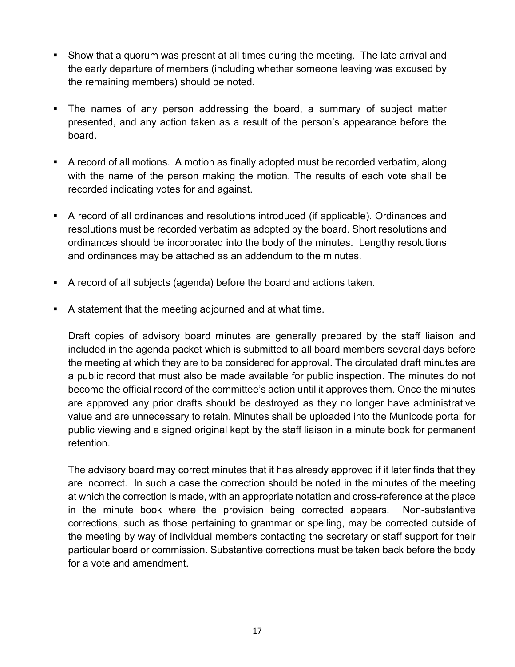- Show that a quorum was present at all times during the meeting. The late arrival and the early departure of members (including whether someone leaving was excused by the remaining members) should be noted.
- The names of any person addressing the board, a summary of subject matter presented, and any action taken as a result of the person's appearance before the board.
- A record of all motions. A motion as finally adopted must be recorded verbatim, along with the name of the person making the motion. The results of each vote shall be recorded indicating votes for and against.
- A record of all ordinances and resolutions introduced (if applicable). Ordinances and resolutions must be recorded verbatim as adopted by the board. Short resolutions and ordinances should be incorporated into the body of the minutes. Lengthy resolutions and ordinances may be attached as an addendum to the minutes.
- A record of all subjects (agenda) before the board and actions taken.
- A statement that the meeting adjourned and at what time.

Draft copies of advisory board minutes are generally prepared by the staff liaison and included in the agenda packet which is submitted to all board members several days before the meeting at which they are to be considered for approval. The circulated draft minutes are a public record that must also be made available for public inspection. The minutes do not become the official record of the committee's action until it approves them. Once the minutes are approved any prior drafts should be destroyed as they no longer have administrative value and are unnecessary to retain. Minutes shall be uploaded into the Municode portal for public viewing and a signed original kept by the staff liaison in a minute book for permanent retention.

The advisory board may correct minutes that it has already approved if it later finds that they are incorrect. In such a case the correction should be noted in the minutes of the meeting at which the correction is made, with an appropriate notation and cross-reference at the place in the minute book where the provision being corrected appears. Non-substantive corrections, such as those pertaining to grammar or spelling, may be corrected outside of the meeting by way of individual members contacting the secretary or staff support for their particular board or commission. Substantive corrections must be taken back before the body for a vote and amendment.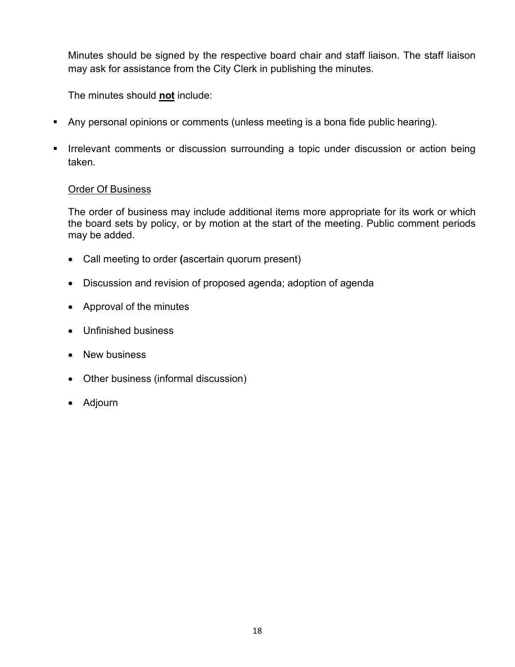Minutes should be signed by the respective board chair and staff liaison. The staff liaison may ask for assistance from the City Clerk in publishing the minutes.

The minutes should **not** include:

- Any personal opinions or comments (unless meeting is a bona fide public hearing).
- **IFFELM** Irrelevant comments or discussion surrounding a topic under discussion or action being taken.

### Order Of Business

The order of business may include additional items more appropriate for its work or which the board sets by policy, or by motion at the start of the meeting. Public comment periods may be added.

- Call meeting to order **(**ascertain quorum present)
- Discussion and revision of proposed agenda; adoption of agenda
- Approval of the minutes
- Unfinished business
- New business
- Other business (informal discussion)
- Adjourn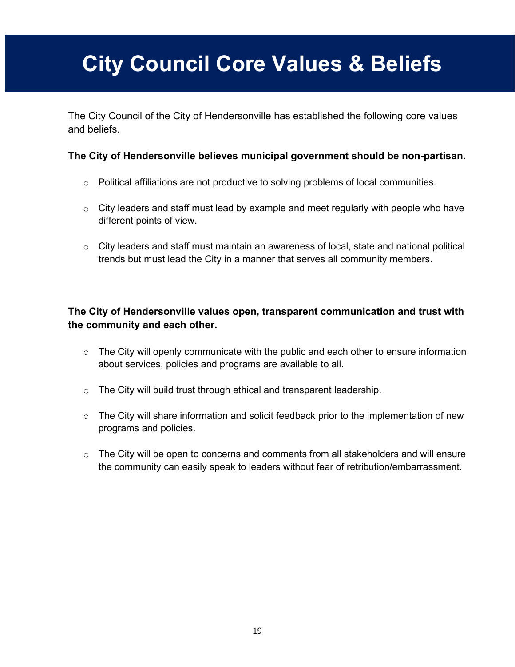# **City Council Core Values & Beliefs**

The City Council of the City of Hendersonville has established the following core values and beliefs.

### **The City of Hendersonville believes municipal government should be non-partisan.**

- $\circ$  Political affiliations are not productive to solving problems of local communities.
- $\circ$  City leaders and staff must lead by example and meet regularly with people who have different points of view.
- $\circ$  City leaders and staff must maintain an awareness of local, state and national political trends but must lead the City in a manner that serves all community members.

### **The City of Hendersonville values open, transparent communication and trust with the community and each other.**

- $\circ$  The City will openly communicate with the public and each other to ensure information about services, policies and programs are available to all.
- o The City will build trust through ethical and transparent leadership.
- $\circ$  The City will share information and solicit feedback prior to the implementation of new programs and policies.
- o The City will be open to concerns and comments from all stakeholders and will ensure the community can easily speak to leaders without fear of retribution/embarrassment.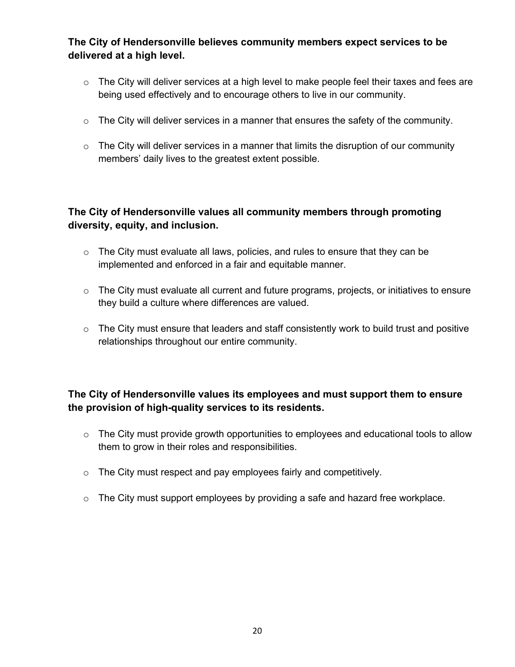**The City of Hendersonville believes community members expect services to be delivered at a high level.**

- $\circ$  The City will deliver services at a high level to make people feel their taxes and fees are being used effectively and to encourage others to live in our community.
- $\circ$  The City will deliver services in a manner that ensures the safety of the community.
- $\circ$  The City will deliver services in a manner that limits the disruption of our community members' daily lives to the greatest extent possible.

### **The City of Hendersonville values all community members through promoting diversity, equity, and inclusion.**

- $\circ$  The City must evaluate all laws, policies, and rules to ensure that they can be implemented and enforced in a fair and equitable manner.
- $\circ$  The City must evaluate all current and future programs, projects, or initiatives to ensure they build a culture where differences are valued.
- o The City must ensure that leaders and staff consistently work to build trust and positive relationships throughout our entire community.

### **The City of Hendersonville values its employees and must support them to ensure the provision of high-quality services to its residents.**

- o The City must provide growth opportunities to employees and educational tools to allow them to grow in their roles and responsibilities.
- o The City must respect and pay employees fairly and competitively.
- $\circ$  The City must support employees by providing a safe and hazard free workplace.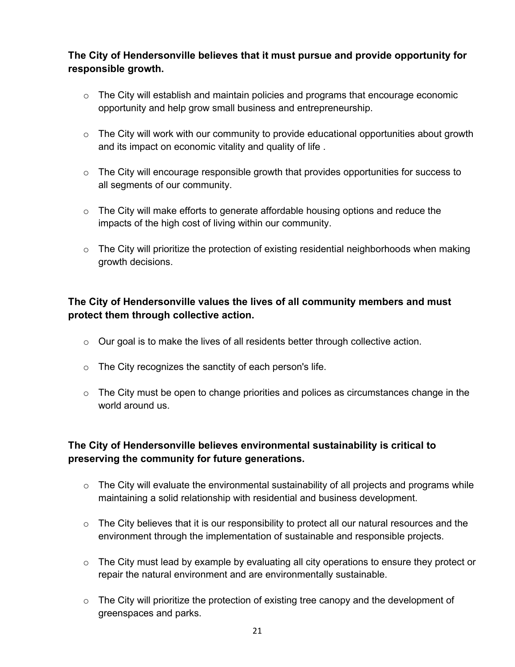**The City of Hendersonville believes that it must pursue and provide opportunity for responsible growth.** 

- $\circ$  The City will establish and maintain policies and programs that encourage economic opportunity and help grow small business and entrepreneurship.
- o The City will work with our community to provide educational opportunities about growth and its impact on economic vitality and quality of life .
- $\circ$  The City will encourage responsible growth that provides opportunities for success to all segments of our community.
- $\circ$  The City will make efforts to generate affordable housing options and reduce the impacts of the high cost of living within our community.
- o The City will prioritize the protection of existing residential neighborhoods when making growth decisions.

### **The City of Hendersonville values the lives of all community members and must protect them through collective action.**

- $\circ$  Our goal is to make the lives of all residents better through collective action.
- o The City recognizes the sanctity of each person's life.
- $\circ$  The City must be open to change priorities and polices as circumstances change in the world around us.

### **The City of Hendersonville believes environmental sustainability is critical to preserving the community for future generations.**

- $\circ$  The City will evaluate the environmental sustainability of all projects and programs while maintaining a solid relationship with residential and business development.
- $\circ$  The City believes that it is our responsibility to protect all our natural resources and the environment through the implementation of sustainable and responsible projects.
- $\circ$  The City must lead by example by evaluating all city operations to ensure they protect or repair the natural environment and are environmentally sustainable.
- $\circ$  The City will prioritize the protection of existing tree canopy and the development of greenspaces and parks.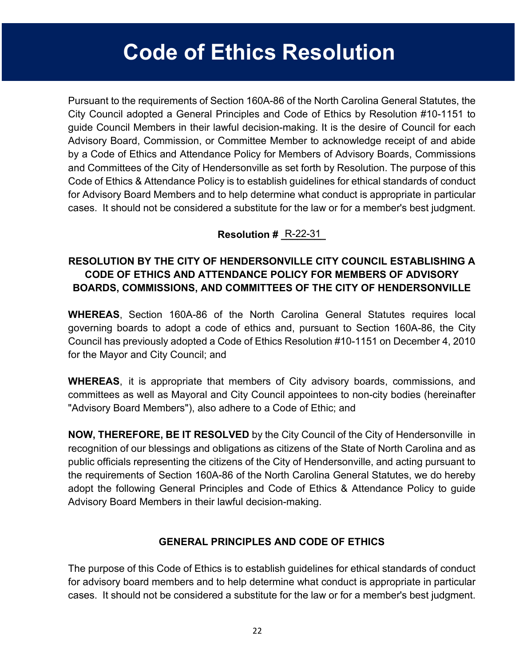# **Code of Ethics Resolution**

Pursuant to the requirements of Section 160A-86 of the North Carolina General Statutes, the City Council adopted a General Principles and Code of Ethics by Resolution #10-1151 to guide Council Members in their lawful decision-making. It is the desire of Council for each Advisory Board, Commission, or Committee Member to acknowledge receipt of and abide by a Code of Ethics and Attendance Policy for Members of Advisory Boards, Commissions and Committees of the City of Hendersonville as set forth by Resolution. The purpose of this Code of Ethics & Attendance Policy is to establish guidelines for ethical standards of conduct for Advisory Board Members and to help determine what conduct is appropriate in particular cases. It should not be considered a substitute for the law or for a member's best judgment.

### **Resolution # R-22-31**

### <span id="page-22-0"></span>**RESOLUTION BY THE CITY OF HENDERSONVILLE CITY COUNCIL ESTABLISHING A CODE OF ETHICS AND ATTENDANCE POLICY FOR MEMBERS OF ADVISORY BOARDS, COMMISSIONS, AND COMMITTEES OF THE CITY OF HENDERSONVILLE**

**WHEREAS**, Section 160A-86 of the North Carolina General Statutes requires local governing boards to adopt a code of ethics and, pursuant to Section 160A-86, the City Council has previously adopted a Code of Ethics Resolution #10-1151 on December 4, 2010 for the Mayor and City Council; and

**WHEREAS**, it is appropriate that members of City advisory boards, commissions, and committees as well as Mayoral and City Council appointees to non-city bodies (hereinafter "Advisory Board Members"), also adhere to a Code of Ethic; and

**NOW, THEREFORE, BE IT RESOLVED** by the City Council of the City of Hendersonville in recognition of our blessings and obligations as citizens of the State of North Carolina and as public officials representing the citizens of the City of Hendersonville, and acting pursuant to the requirements of Section 160A-86 of the North Carolina General Statutes, we do hereby adopt the following General Principles and Code of Ethics & Attendance Policy to guide Advisory Board Members in their lawful decision-making.

### **GENERAL PRINCIPLES AND CODE OF ETHICS**

The purpose of this Code of Ethics is to establish guidelines for ethical standards of conduct for advisory board members and to help determine what conduct is appropriate in particular cases. It should not be considered a substitute for the law or for a member's best judgment.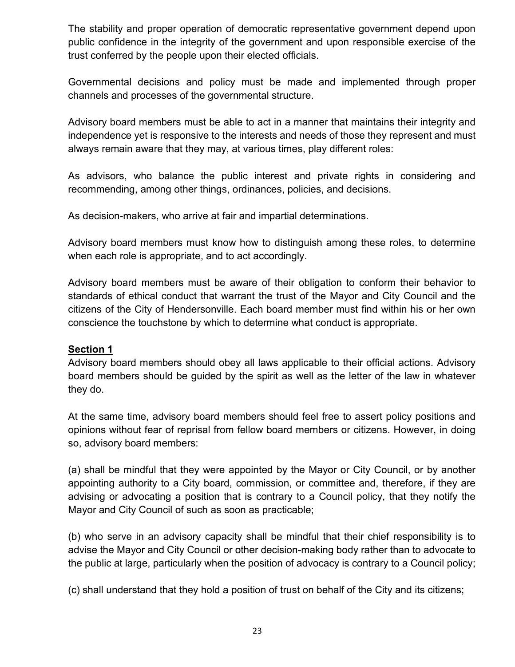The stability and proper operation of democratic representative government depend upon public confidence in the integrity of the government and upon responsible exercise of the trust conferred by the people upon their elected officials.

Governmental decisions and policy must be made and implemented through proper channels and processes of the governmental structure.

Advisory board members must be able to act in a manner that maintains their integrity and independence yet is responsive to the interests and needs of those they represent and must always remain aware that they may, at various times, play different roles:

As advisors, who balance the public interest and private rights in considering and recommending, among other things, ordinances, policies, and decisions.

As decision-makers, who arrive at fair and impartial determinations.

Advisory board members must know how to distinguish among these roles, to determine when each role is appropriate, and to act accordingly.

Advisory board members must be aware of their obligation to conform their behavior to standards of ethical conduct that warrant the trust of the Mayor and City Council and the citizens of the City of Hendersonville. Each board member must find within his or her own conscience the touchstone by which to determine what conduct is appropriate.

#### **Section 1**

Advisory board members should obey all laws applicable to their official actions. Advisory board members should be guided by the spirit as well as the letter of the law in whatever they do.

At the same time, advisory board members should feel free to assert policy positions and opinions without fear of reprisal from fellow board members or citizens. However, in doing so, advisory board members:

(a) shall be mindful that they were appointed by the Mayor or City Council, or by another appointing authority to a City board, commission, or committee and, therefore, if they are advising or advocating a position that is contrary to a Council policy, that they notify the Mayor and City Council of such as soon as practicable;

(b) who serve in an advisory capacity shall be mindful that their chief responsibility is to advise the Mayor and City Council or other decision-making body rather than to advocate to the public at large, particularly when the position of advocacy is contrary to a Council policy;

(c) shall understand that they hold a position of trust on behalf of the City and its citizens;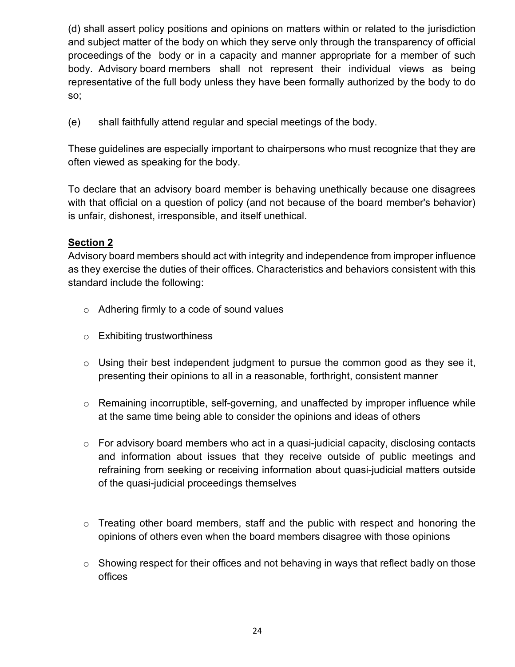(d) shall assert policy positions and opinions on matters within or related to the jurisdiction and subject matter of the body on which they serve only through the transparency of official proceedings of the body or in a capacity and manner appropriate for a member of such body. Advisory board members shall not represent their individual views as being representative of the full body unless they have been formally authorized by the body to do so;

(e) shall faithfully attend regular and special meetings of the body.

These guidelines are especially important to chairpersons who must recognize that they are often viewed as speaking for the body.

To declare that an advisory board member is behaving unethically because one disagrees with that official on a question of policy (and not because of the board member's behavior) is unfair, dishonest, irresponsible, and itself unethical.

### **Section 2**

Advisory board members should act with integrity and independence from improper influence as they exercise the duties of their offices. Characteristics and behaviors consistent with this standard include the following:

- o Adhering firmly to a code of sound values
- o Exhibiting trustworthiness
- $\circ$  Using their best independent judgment to pursue the common good as they see it, presenting their opinions to all in a reasonable, forthright, consistent manner
- o Remaining incorruptible, self-governing, and unaffected by improper influence while at the same time being able to consider the opinions and ideas of others
- $\circ$  For advisory board members who act in a quasi-judicial capacity, disclosing contacts and information about issues that they receive outside of public meetings and refraining from seeking or receiving information about quasi-judicial matters outside of the quasi-judicial proceedings themselves
- o Treating other board members, staff and the public with respect and honoring the opinions of others even when the board members disagree with those opinions
- $\circ$  Showing respect for their offices and not behaving in ways that reflect badly on those offices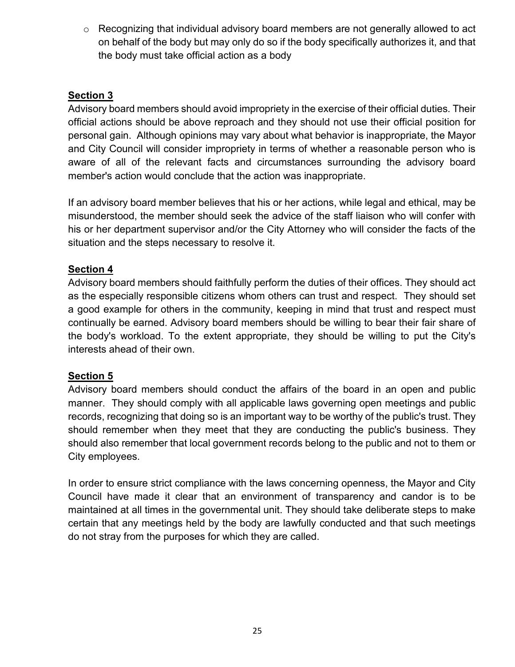$\circ$  Recognizing that individual advisory board members are not generally allowed to act on behalf of the body but may only do so if the body specifically authorizes it, and that the body must take official action as a body

### **Section 3**

Advisory board members should avoid impropriety in the exercise of their official duties. Their official actions should be above reproach and they should not use their official position for personal gain. Although opinions may vary about what behavior is inappropriate, the Mayor and City Council will consider impropriety in terms of whether a reasonable person who is aware of all of the relevant facts and circumstances surrounding the advisory board member's action would conclude that the action was inappropriate.

If an advisory board member believes that his or her actions, while legal and ethical, may be misunderstood, the member should seek the advice of the staff liaison who will confer with his or her department supervisor and/or the City Attorney who will consider the facts of the situation and the steps necessary to resolve it.

### **Section 4**

Advisory board members should faithfully perform the duties of their offices. They should act as the especially responsible citizens whom others can trust and respect. They should set a good example for others in the community, keeping in mind that trust and respect must continually be earned. Advisory board members should be willing to bear their fair share of the body's workload. To the extent appropriate, they should be willing to put the City's interests ahead of their own.

### **Section 5**

Advisory board members should conduct the affairs of the board in an open and public manner. They should comply with all applicable laws governing open meetings and public records, recognizing that doing so is an important way to be worthy of the public's trust. They should remember when they meet that they are conducting the public's business. They should also remember that local government records belong to the public and not to them or City employees.

In order to ensure strict compliance with the laws concerning openness, the Mayor and City Council have made it clear that an environment of transparency and candor is to be maintained at all times in the governmental unit. They should take deliberate steps to make certain that any meetings held by the body are lawfully conducted and that such meetings do not stray from the purposes for which they are called.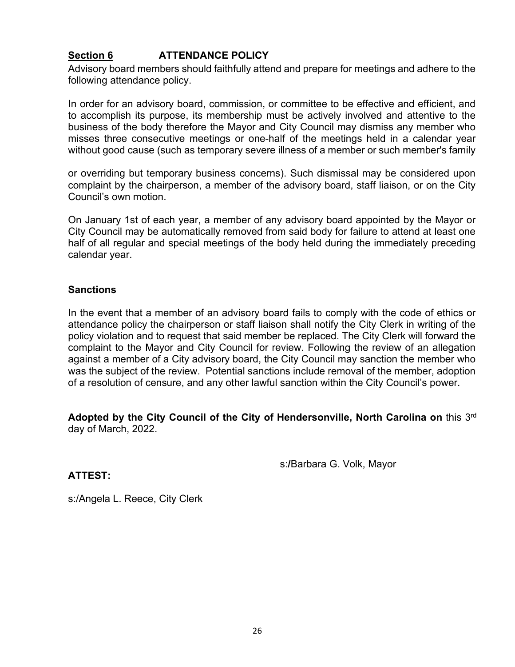### **Section 6 ATTENDANCE POLICY**

Advisory board members should faithfully attend and prepare for meetings and adhere to the following attendance policy.

In order for an advisory board, commission, or committee to be effective and efficient, and to accomplish its purpose, its membership must be actively involved and attentive to the business of the body therefore the Mayor and City Council may dismiss any member who misses three consecutive meetings or one-half of the meetings held in a calendar year without good cause (such as temporary severe illness of a member or such member's family

or overriding but temporary business concerns). Such dismissal may be considered upon complaint by the chairperson, a member of the advisory board, staff liaison, or on the City Council's own motion.

On January 1st of each year, a member of any advisory board appointed by the Mayor or City Council may be automatically removed from said body for failure to attend at least one half of all regular and special meetings of the body held during the immediately preceding calendar year.

#### **Sanctions**

In the event that a member of an advisory board fails to comply with the code of ethics or attendance policy the chairperson or staff liaison shall notify the City Clerk in writing of the policy violation and to request that said member be replaced. The City Clerk will forward the complaint to the Mayor and City Council for review. Following the review of an allegation against a member of a City advisory board, the City Council may sanction the member who was the subject of the review. Potential sanctions include removal of the member, adoption of a resolution of censure, and any other lawful sanction within the City Council's power.

**Adopted by the City Council of the City of Hendersonville, North Carolina on** this 3rd day of March, 2022.

s:**/**Barbara G. Volk, Mayor

**ATTEST:**

s:/Angela L. Reece, City Clerk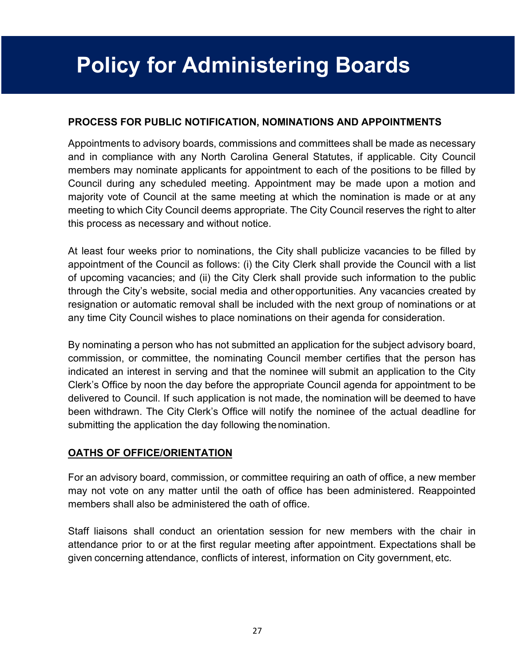# **Policy for Administering Boards**

### **PROCESS FOR PUBLIC NOTIFICATION, NOMINATIONS AND APPOINTMENTS**

Appointments to advisory boards, commissions and committees shall be made as necessary and in compliance with any North Carolina General Statutes, if applicable. City Council members may nominate applicants for appointment to each of the positions to be filled by Council during any scheduled meeting. Appointment may be made upon a motion and majority vote of Council at the same meeting at which the nomination is made or at any meeting to which City Council deems appropriate. The City Council reserves the right to alter this process as necessary and without notice.

At least four weeks prior to nominations, the City shall publicize vacancies to be filled by appointment of the Council as follows: (i) the City Clerk shall provide the Council with a list of upcoming vacancies; and (ii) the City Clerk shall provide such information to the public through the City's website, social media and other opportunities. Any vacancies created by resignation or automatic removal shall be included with the next group of nominations or at any time City Council wishes to place nominations on their agenda for consideration.

By nominating a person who has not submitted an application for the subject advisory board, commission, or committee, the nominating Council member certifies that the person has indicated an interest in serving and that the nominee will submit an application to the City Clerk's Office by noon the day before the appropriate Council agenda for appointment to be delivered to Council. If such application is not made, the nomination will be deemed to have been withdrawn. The City Clerk's Office will notify the nominee of the actual deadline for submitting the application the day following the nomination.

### **OATHS OF OFFICE/ORIENTATION**

For an advisory board, commission, or committee requiring an oath of office, a new member may not vote on any matter until the oath of office has been administered. Reappointed members shall also be administered the oath of office.

Staff liaisons shall conduct an orientation session for new members with the chair in attendance prior to or at the first regular meeting after appointment. Expectations shall be given concerning attendance, conflicts of interest, information on City government, etc.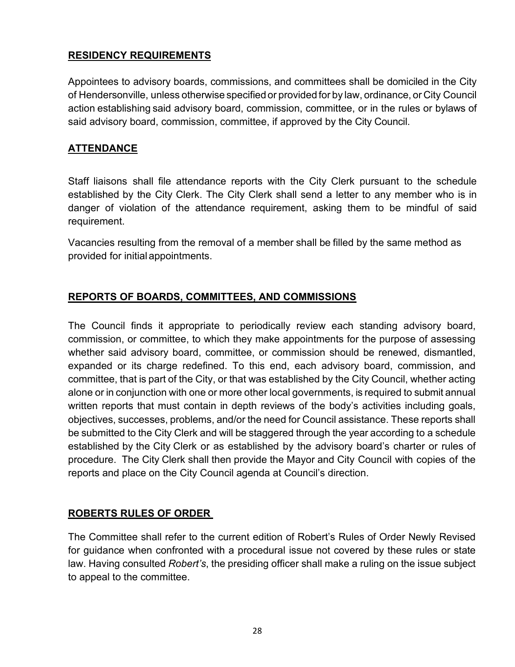### **RESIDENCY REQUIREMENTS**

Appointees to advisory boards, commissions, and committees shall be domiciled in the City of Hendersonville, unless otherwise specified or provided for by law, ordinance, or City Council action establishing said advisory board, commission, committee, or in the rules or bylaws of said advisory board, commission, committee, if approved by the City Council.

### **ATTENDANCE**

Staff liaisons shall file attendance reports with the City Clerk pursuant to the schedule established by the City Clerk. The City Clerk shall send a letter to any member who is in danger of violation of the attendance requirement, asking them to be mindful of said requirement.

Vacancies resulting from the removal of a member shall be filled by the same method as provided for initial appointments.

### **REPORTS OF BOARDS, COMMITTEES, AND COMMISSIONS**

The Council finds it appropriate to periodically review each standing advisory board, commission, or committee, to which they make appointments for the purpose of assessing whether said advisory board, committee, or commission should be renewed, dismantled, expanded or its charge redefined. To this end, each advisory board, commission, and committee, that is part of the City, or that was established by the City Council, whether acting alone or in conjunction with one or more other local governments, is required to submit annual written reports that must contain in depth reviews of the body's activities including goals, objectives, successes, problems, and/or the need for Council assistance. These reports shall be submitted to the City Clerk and will be staggered through the year according to a schedule established by the City Clerk or as established by the advisory board's charter or rules of procedure. The City Clerk shall then provide the Mayor and City Council with copies of the reports and place on the City Council agenda at Council's direction.

### **ROBERTS RULES OF ORDER**

The Committee shall refer to the current edition of Robert's Rules of Order Newly Revised for guidance when confronted with a procedural issue not covered by these rules or state law. Having consulted *Robert's*, the presiding officer shall make a ruling on the issue subject to appeal to the committee.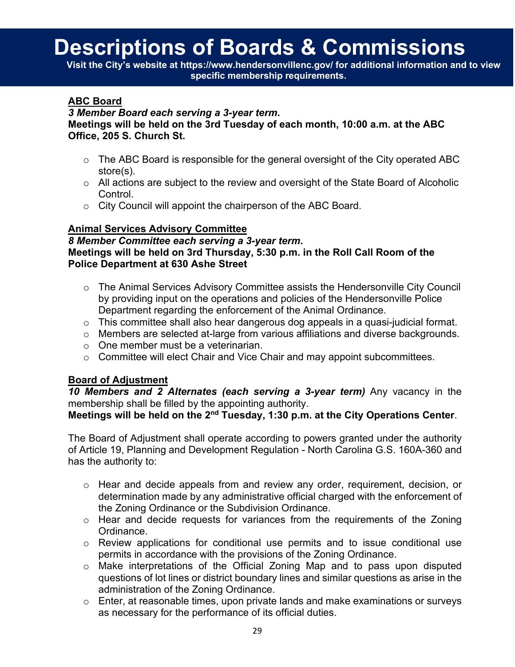# **Descriptions of Boards & Commissions**

**Visit the [City's website](https://www.hendersonvillenc.gov/boards-and-commissions/business-advisory-committee) at https://www.hendersonvillenc.gov/ for additional information and to view specific membership requirements.**

### **ABC Board**

#### *3 Member Board each serving a 3-year term***.**

**Meetings will be held on the 3rd Tuesday of each month, 10:00 a.m. at the ABC Office, 205 S. Church St.**

- $\circ$  The ABC Board is responsible for the general oversight of the City operated ABC store(s).
- $\circ$  All actions are subject to the review and oversight of the State Board of Alcoholic Control.
- o City Council will appoint the chairperson of the ABC Board.

### **Animal Services Advisory Committee**

*8 Member Committee each serving a 3-year term***. Meetings will be held on 3rd Thursday, 5:30 p.m. in the Roll Call Room of the Police Department at 630 Ashe Street**

- o The Animal Services Advisory Committee assists the Hendersonville City Council by providing input on the operations and policies of the Hendersonville Police Department regarding the enforcement of the Animal Ordinance.
- o This committee shall also hear dangerous dog appeals in a quasi-judicial format.
- o Members are selected at-large from various affiliations and diverse backgrounds.
- o One member must be a veterinarian.
- o Committee will elect Chair and Vice Chair and may appoint subcommittees.

### **Board of Adjustment**

*10 Members and 2 Alternates (each serving a 3-year term)* Any vacancy in the membership shall be filled by the appointing authority.

**Meetings will be held on the 2nd Tuesday, 1:30 p.m. at the City Operations Center**.

The Board of Adjustment shall operate according to powers granted under the authority of Article 19, Planning and Development Regulation - North Carolina G.S. 160A-360 and has the authority to:

- o Hear and decide appeals from and review any order, requirement, decision, or determination made by any administrative official charged with the enforcement of the Zoning Ordinance or the Subdivision Ordinance.
- o Hear and decide requests for variances from the requirements of the Zoning Ordinance.
- $\circ$  Review applications for conditional use permits and to issue conditional use permits in accordance with the provisions of the Zoning Ordinance.
- o Make interpretations of the Official Zoning Map and to pass upon disputed questions of lot lines or district boundary lines and similar questions as arise in the administration of the Zoning Ordinance.
- o Enter, at reasonable times, upon private lands and make examinations or surveys as necessary for the performance of its official duties.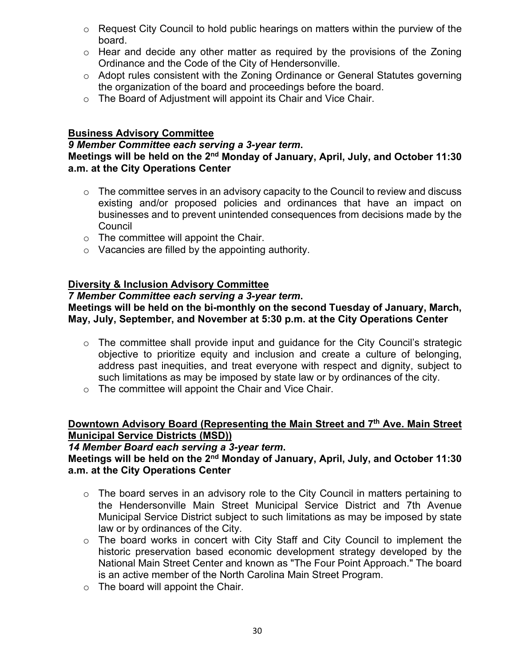- $\circ$  Request City Council to hold public hearings on matters within the purview of the board.
- $\circ$  Hear and decide any other matter as required by the provisions of the Zoning Ordinance and the Code of the City of Hendersonville.
- o Adopt rules consistent with the Zoning Ordinance or General Statutes governing the organization of the board and proceedings before the board.
- o The Board of Adjustment will appoint its Chair and Vice Chair.

### **Business Advisory Committee**

#### *9 Member Committee each serving a 3-year term***. Meetings will be held on the 2nd Monday of January, April, July, and October 11:30 a.m. at the City Operations Center**

- $\circ$  The committee serves in an advisory capacity to the Council to review and discuss existing and/or proposed policies and ordinances that have an impact on businesses and to prevent unintended consequences from decisions made by the **Council**
- $\circ$  The committee will appoint the Chair.
- o Vacancies are filled by the appointing authority.

### **Diversity & Inclusion Advisory Committee**

#### *7 Member Committee each serving a 3-year term***.**

### **Meetings will be held on the bi-monthly on the second Tuesday of January, March, May, July, September, and November at 5:30 p.m. at the City Operations Center**

- o The committee shall provide input and guidance for the City Council's strategic objective to prioritize equity and inclusion and create a culture of belonging, address past inequities, and treat everyone with respect and dignity, subject to such limitations as may be imposed by state law or by ordinances of the city.
- o The committee will appoint the Chair and Vice Chair.

### **Downtown Advisory Board (Representing the Main Street and 7th Ave. Main Street Municipal Service Districts (MSD))**

*14 Member Board each serving a 3-year term***.**

#### **Meetings will be held on the 2nd Monday of January, April, July, and October 11:30 a.m. at the City Operations Center**

- o The board serves in an advisory role to the City Council in matters pertaining to the Hendersonville Main Street Municipal Service District and 7th Avenue Municipal Service District subject to such limitations as may be imposed by state law or by ordinances of the City.
- o The board works in concert with City Staff and City Council to implement the historic preservation based economic development strategy developed by the National Main Street Center and known as "The Four Point Approach." The board is an active member of the North Carolina Main Street Program.
- $\circ$  The board will appoint the Chair.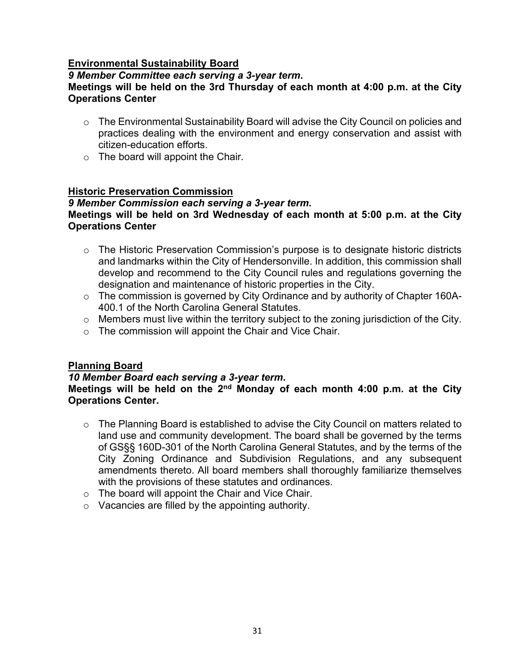### **Environmental Sustainability Board**

### *9 Member Committee each serving a 3-year term***.**

### **Meetings will be held on the 3rd Thursday of each month at 4:00 p.m. at the City Operations Center**

- o The Environmental Sustainability Board will advise the City Council on policies and practices dealing with the environment and energy conservation and assist with citizen-education efforts.
- $\circ$  The board will appoint the Chair.

### **Historic Preservation Commission**

### *9 Member Commission each serving a 3-year term***.**

### **Meetings will be held on 3rd Wednesday of each month at 5:00 p.m. at the City Operations Center**

- o The Historic Preservation Commission's purpose is to designate historic districts and landmarks within the City of Hendersonville. In addition, this commission shall develop and recommend to the City Council rules and regulations governing the designation and maintenance of historic properties in the City.
- o The commission is governed by City Ordinance and by authority of Chapter 160A-400.1 of the North Carolina General Statutes.
- o Members must live within the territory subject to the zoning jurisdiction of the City.
- o The commission will appoint the Chair and Vice Chair.

#### **Planning Board**

#### *10 Member Board each serving a 3-year term***.**

### **Meetings will be held on the 2nd Monday of each month 4:00 p.m. at the City Operations Center.**

- o The Planning Board is established to advise the City Council on matters related to land use and community development. The board shall be governed by the terms of GS§§ 160D-301 of the North Carolina General Statutes, and by the terms of the City Zoning Ordinance and Subdivision Regulations, and any subsequent amendments thereto. All board members shall thoroughly familiarize themselves with the provisions of these statutes and ordinances.
- o The board will appoint the Chair and Vice Chair.
- o Vacancies are filled by the appointing authority.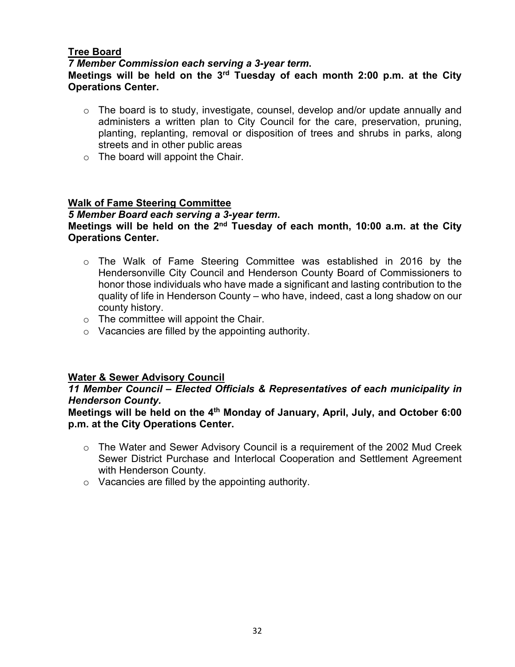### **Tree Board**

*7 Member Commission each serving a 3-year term***.**

#### **Meetings will be held on the 3rd Tuesday of each month 2:00 p.m. at the City Operations Center.**

- $\circ$  The board is to study, investigate, counsel, develop and/or update annually and administers a written plan to City Council for the care, preservation, pruning, planting, replanting, removal or disposition of trees and shrubs in parks, along streets and in other public areas
- $\circ$  The board will appoint the Chair.

### **Walk of Fame Steering Committee**

#### *5 Member Board each serving a 3-year term***. Meetings will be held on the 2nd Tuesday of each month, 10:00 a.m. at the City Operations Center.**

- o The Walk of Fame Steering Committee was established in 2016 by the Hendersonville City Council and Henderson County Board of Commissioners to honor those individuals who have made a significant and lasting contribution to the quality of life in Henderson County – who have, indeed, cast a long shadow on our county history.
- $\circ$  The committee will appoint the Chair.
- o Vacancies are filled by the appointing authority.

### **Water & Sewer Advisory Council**

### *11 Member Council – Elected Officials & Representatives of each municipality in Henderson County.*

### **Meetings will be held on the 4th Monday of January, April, July, and October 6:00 p.m. at the City Operations Center.**

- $\circ$  The Water and Sewer Advisory Council is a requirement of the 2002 Mud Creek Sewer District Purchase and Interlocal Cooperation and Settlement Agreement with Henderson County.
- <span id="page-32-0"></span>o Vacancies are filled by the appointing authority.